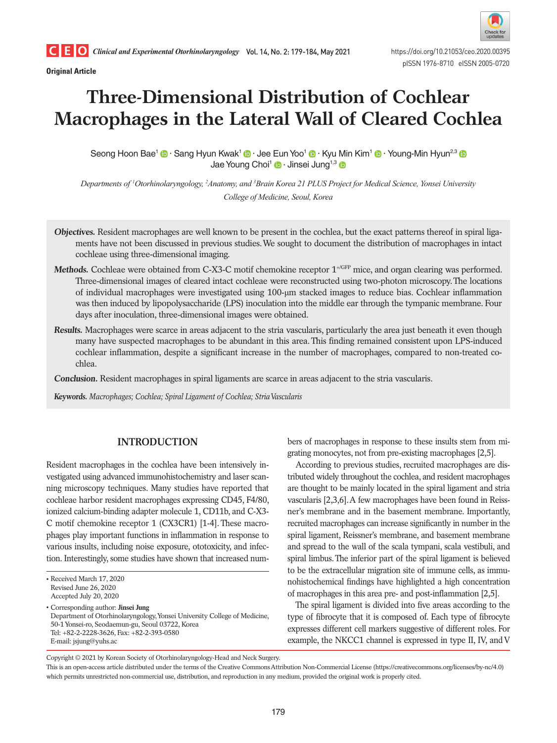**Original Article**



# **Three-Dimensional Distribution of Cochlear Macrophages in the Lateral Wall of Cleared Cochlea**

Seong Hoon Bae<sup>1</sup> © [·](https://orcid.org/0000-0003-2187-8034) Sang Hyun Kwak<sup>1</sup> © · Jee Eun Yoo<sup>1</sup> © · Kyu Min Kim<sup>1</sup> © · Young-Min Hyun<sup>2,[3](https://orcid.org/0000-0002-0567-2039)</sup> © Jae Young Choi<sup>1</sup> <sup>o</sup> [·](https://orcid.org/0000-0001-9493-3458) Jinsei Jung<sup>1,3</sup> <sup>o</sup>

*Departments of 1 Otorhinolaryngology, 2 Anatomy, and 3 Brain Korea 21 PLUS Project for Medical Science, Yonsei University College of Medicine, Seoul, Korea*

- **Objectives.** Resident macrophages are well known to be present in the cochlea, but the exact patterns thereof in spiral ligaments have not been discussed in previous studies. We sought to document the distribution of macrophages in intact cochleae using three-dimensional imaging.
- **Methods.** Cochleae were obtained from C-X3-C motif chemokine receptor  $1^{+/GFP}$  mice, and organ clearing was performed. Three-dimensional images of cleared intact cochleae were reconstructed using two-photon microscopy. The locations of individual macrophages were investigated using 100-μm stacked images to reduce bias. Cochlear inflammation was then induced by lipopolysaccharide (LPS) inoculation into the middle ear through the tympanic membrane. Four days after inoculation, three-dimensional images were obtained.
- **Results.** Macrophages were scarce in areas adjacent to the stria vascularis, particularly the area just beneath it even though many have suspected macrophages to be abundant in this area. This finding remained consistent upon LPS-induced cochlear inflammation, despite a significant increase in the number of macrophages, compared to non-treated cochlea.

**Conclusion.** Resident macrophages in spiral ligaments are scarce in areas adjacent to the stria vascularis.

**Keywords.** *Macrophages; Cochlea; Spiral Ligament of Cochlea; Stria Vascularis*

# **INTRODUCTION**

Resident macrophages in the cochlea have been intensively investigated using advanced immunohistochemistry and laser scanning microscopy techniques. Many studies have reported that cochleae harbor resident macrophages expressing CD45, F4/80, ionized calcium-binding adapter molecule 1, CD11b, and C-X3- C motif chemokine receptor 1 (CX3CR1) [1-4]. These macrophages play important functions in inflammation in response to various insults, including noise exposure, ototoxicity, and infection. Interestingly, some studies have shown that increased num-

• Corresponding author: **Jinsei Jung** Department of Otorhinolaryngology, Yonsei University College of Medicine, 50-1 Yonsei-ro, Seodaemun-gu, Seoul 03722, Korea Tel: +82-2-2228-3626, Fax: +82-2-393-0580 E-mail: jsjung@yuhs.ac

bers of macrophages in response to these insults stem from migrating monocytes, not from pre-existing macrophages [2,5].

According to previous studies, recruited macrophages are distributed widely throughout the cochlea, and resident macrophages are thought to be mainly located in the spiral ligament and stria vascularis [2,3,6]. A few macrophages have been found in Reissner's membrane and in the basement membrane. Importantly, recruited macrophages can increase significantly in number in the spiral ligament, Reissner's membrane, and basement membrane and spread to the wall of the scala tympani, scala vestibuli, and spiral limbus. The inferior part of the spiral ligament is believed to be the extracellular migration site of immune cells, as immunohistochemical findings have highlighted a high concentration of macrophages in this area pre- and post-inflammation [2,5].

The spiral ligament is divided into five areas according to the type of fibrocyte that it is composed of. Each type of fibrocyte expresses different cell markers suggestive of different roles. For example, the NKCC1 channel is expressed in type II, IV, and V

Copyright © 2021 by Korean Society of Otorhinolaryngology-Head and Neck Surgery.

<sup>•</sup> Received March 17, 2020 Revised June 26, 2020 Accepted July 20, 2020

This is an open-access article distributed under the terms of the Creative Commons Attribution Non-Commercial License (https://creativecommons.org/licenses/by-nc/4.0) which permits unrestricted non-commercial use, distribution, and reproduction in any medium, provided the original work is properly cited.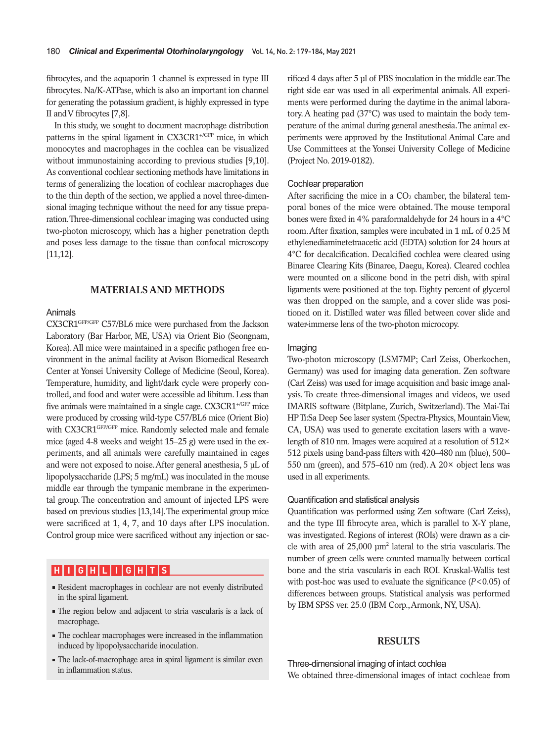fibrocytes, and the aquaporin 1 channel is expressed in type III fibrocytes. Na/K-ATPase, which is also an important ion channel for generating the potassium gradient, is highly expressed in type II and V fibrocytes [7,8].

In this study, we sought to document macrophage distribution patterns in the spiral ligament in CX3CR1<sup>+/GFP</sup> mice, in which monocytes and macrophages in the cochlea can be visualized without immunostaining according to previous studies [9,10]. As conventional cochlear sectioning methods have limitations in terms of generalizing the location of cochlear macrophages due to the thin depth of the section, we applied a novel three-dimensional imaging technique without the need for any tissue preparation. Three-dimensional cochlear imaging was conducted using two-photon microscopy, which has a higher penetration depth and poses less damage to the tissue than confocal microscopy [11,12].

# **MATERIALS AND METHODS**

#### Animals

CX3CR1GFP/GFP C57/BL6 mice were purchased from the Jackson Laboratory (Bar Harbor, ME, USA) via Orient Bio (Seongnam, Korea). All mice were maintained in a specific pathogen free environment in the animal facility at Avison Biomedical Research Center at Yonsei University College of Medicine (Seoul, Korea). Temperature, humidity, and light/dark cycle were properly controlled, and food and water were accessible ad libitum. Less than five animals were maintained in a single cage. CX3CR1<sup>+/GFP</sup> mice were produced by crossing wild-type C57/BL6 mice (Orient Bio) with CX3CR1<sup>GFP/GFP</sup> mice. Randomly selected male and female mice (aged 4-8 weeks and weight 15–25 g) were used in the experiments, and all animals were carefully maintained in cages and were not exposed to noise. After general anesthesia, 5 µL of lipopolysaccharide (LPS; 5 mg/mL) was inoculated in the mouse middle ear through the tympanic membrane in the experimental group. The concentration and amount of injected LPS were based on previous studies [13,14]. The experimental group mice were sacrificed at 1, 4, 7, and 10 days after LPS inoculation. Control group mice were sacrificed without any injection or sac-

# **H I G H L I G H T S**

- Resident macrophages in cochlear are not evenly distributed in the spiral ligament.
- The region below and adjacent to stria vascularis is a lack of macrophage.
- The cochlear macrophages were increased in the inflammation induced by lipopolysaccharide inoculation.
- The lack-of-macrophage area in spiral ligament is similar even in inflammation status.

rificed 4 days after 5 µl of PBS inoculation in the middle ear. The right side ear was used in all experimental animals. All experiments were performed during the daytime in the animal laboratory. A heating pad (37°C) was used to maintain the body temperature of the animal during general anesthesia. The animal experiments were approved by the Institutional Animal Care and Use Committees at the Yonsei University College of Medicine (Project No. 2019-0182).

#### Cochlear preparation

After sacrificing the mice in a  $CO<sub>2</sub>$  chamber, the bilateral temporal bones of the mice were obtained. The mouse temporal bones were fixed in 4% paraformaldehyde for 24 hours in a 4°C room. After fixation, samples were incubated in 1 mL of 0.25 M ethylenediaminetetraacetic acid (EDTA) solution for 24 hours at 4°C for decalcification. Decalcified cochlea were cleared using Binaree Clearing Kits (Binaree, Daegu, Korea). Cleared cochlea were mounted on a silicone bond in the petri dish, with spiral ligaments were positioned at the top. Eighty percent of glycerol was then dropped on the sample, and a cover slide was positioned on it. Distilled water was filled between cover slide and water-immerse lens of the two-photon microcopy.

#### Imaging

Two-photon microscopy (LSM7MP; Carl Zeiss, Oberkochen, Germany) was used for imaging data generation. Zen software (Carl Zeiss) was used for image acquisition and basic image analysis. To create three-dimensional images and videos, we used IMARIS software (Bitplane, Zurich, Switzerland). The Mai-Tai HP Ti:Sa Deep See laser system (Spectra-Physics, Mountain View, CA, USA) was used to generate excitation lasers with a wavelength of 810 nm. Images were acquired at a resolution of 512× 512 pixels using band-pass filters with 420–480 nm (blue), 500– 550 nm (green), and 575–610 nm (red). A  $20 \times$  object lens was used in all experiments.

#### Quantification and statistical analysis

Quantification was performed using Zen software (Carl Zeiss), and the type III fibrocyte area, which is parallel to X-Y plane, was investigated. Regions of interest (ROIs) were drawn as a circle with area of 25,000 µm2 lateral to the stria vascularis. The number of green cells were counted manually between cortical bone and the stria vascularis in each ROI. Kruskal-Wallis test with post-hoc was used to evaluate the significance (*P*<0.05) of differences between groups. Statistical analysis was performed by IBM SPSS ver. 25.0 (IBM Corp., Armonk, NY, USA).

#### **RESULTS**

Three-dimensional imaging of intact cochlea We obtained three-dimensional images of intact cochleae from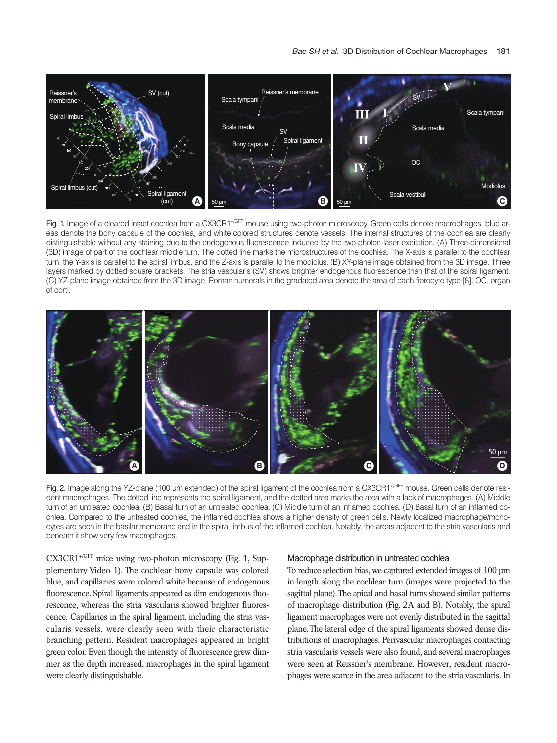

Fig. 1. Image of a cleared intact cochlea from a CX3CR1+/GFP mouse using two-photon microscopy. Green cells denote macrophages, blue areas denote the bony capsule of the cochlea, and white colored structures denote vessels. The internal structures of the cochlea are clearly distinguishable without any staining due to the endogenous fluorescence induced by the two-photon laser excitation. (A) Three-dimensional (3D) image of part of the cochlear middle turn. The dotted line marks the microstructures of the cochlea. The X-axis is parallel to the cochlear turn, the Y-axis is parallel to the spiral limbus, and the Z-axis is parallel to the modiolus. (B) XY-plane image obtained from the 3D image. Three layers marked by dotted square brackets. The stria vascularis (SV) shows brighter endogenous fluorescence than that of the spiral ligament. (C) YZ-plane image obtained from the 3D image. Roman numerals in the gradated area denote the area of each fibrocyte type [8]. OC, organ of corti.



Fig. 2. Image along the YZ-plane (100 µm extended) of the spiral ligament of the cochlea from a CX3CR1<sup>+/GFP</sup> mouse. Green cells denote resident macrophages. The dotted line represents the spiral ligament, and the dotted area marks the area with a lack of macrophages. (A) Middle turn of an untreated cochlea. (B) Basal turn of an untreated cochlea. (C) Middle turn of an inflamed cochlea. (D) Basal turn of an inflamed cochlea. Compared to the untreated cochlea, the inflamed cochlea shows a higher density of green cells. Newly localized macrophage/monocytes are seen in the basilar membrane and in the spiral limbus of the inflamed cochlea. Notably, the areas adjacent to the stria vascularis and beneath it show very few macrophages.

CX3CR1+/GFP mice using two-photon microscopy (Fig. 1, Supplementary Video 1). The cochlear bony capsule was colored blue, and capillaries were colored white because of endogenous fluorescence. Spiral ligaments appeared as dim endogenous fluorescence, whereas the stria vascularis showed brighter fluorescence. Capillaries in the spiral ligament, including the stria vascularis vessels, were clearly seen with their characteristic branching pattern. Resident macrophages appeared in bright green color. Even though the intensity of fluorescence grew dimmer as the depth increased, macrophages in the spiral ligament were clearly distinguishable.

#### Macrophage distribution in untreated cochlea

To reduce selection bias, we captured extended images of 100 µm in length along the cochlear turn (images were projected to the sagittal plane). The apical and basal turns showed similar patterns of macrophage distribution (Fig. 2A and B). Notably, the spiral ligament macrophages were not evenly distributed in the sagittal plane. The lateral edge of the spiral ligaments showed dense distributions of macrophages. Perivascular macrophages contacting stria vascularis vessels were also found, and several macrophages were seen at Reissner's membrane. However, resident macrophages were scarce in the area adjacent to the stria vascularis. In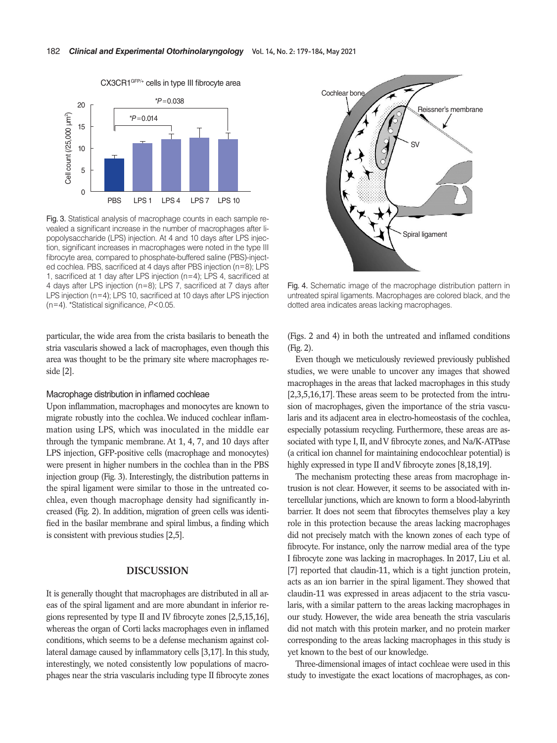

Fig. 3. Statistical analysis of macrophage counts in each sample revealed a significant increase in the number of macrophages after lipopolysaccharide (LPS) injection. At 4 and 10 days after LPS injection, significant increases in macrophages were noted in the type III fibrocyte area, compared to phosphate-buffered saline (PBS)-injected cochlea. PBS, sacrificed at 4 days after PBS injection (n=8); LPS 1, sacrificed at 1 day after LPS injection (n=4); LPS 4, sacrificed at 4 days after LPS injection (n=8); LPS 7, sacrificed at 7 days after LPS injection (n=4); LPS 10, sacrificed at 10 days after LPS injection (metalling the term of the significant increase in the num<br>propolysaccharide (LPS) injection. At 4 a<br>film oscillation increases in the num<br>propolysaccharide (LPS) injection. At 4 a<br>tion, significant increases in macrophag

particular, the wide area from the crista basilaris to beneath the stria vascularis showed a lack of macrophages, even though this area was thought to be the primary site where macrophages reside [2].

#### Macrophage distribution in inflamed cochleae

Upon inflammation, macrophages and monocytes are known to migrate robustly into the cochlea. We induced cochlear inflammation using LPS, which was inoculated in the middle ear through the tympanic membrane. At 1, 4, 7, and 10 days after LPS injection, GFP-positive cells (macrophage and monocytes) were present in higher numbers in the cochlea than in the PBS injection group (Fig. 3). Interestingly, the distribution patterns in the spiral ligament were similar to those in the untreated cochlea, even though macrophage density had significantly increased (Fig. 2). In addition, migration of green cells was identified in the basilar membrane and spiral limbus, a finding which is consistent with previous studies [2,5].

# **DISCUSSION**

It is generally thought that macrophages are distributed in all areas of the spiral ligament and are more abundant in inferior regions represented by type II and IV fibrocyte zones [2,5,15,16], whereas the organ of Corti lacks macrophages even in inflamed conditions, which seems to be a defense mechanism against collateral damage caused by inflammatory cells [3,17]. In this study, interestingly, we noted consistently low populations of macrophages near the stria vascularis including type II fibrocyte zones



Fig. 4. Schematic image of the macrophage distribution pattern in untreated spiral ligaments. Macrophages are colored black, and the dotted area indicates areas lacking macrophages.

(Figs. 2 and 4) in both the untreated and inflamed conditions (Fig. 2).

Even though we meticulously reviewed previously published studies, we were unable to uncover any images that showed macrophages in the areas that lacked macrophages in this study [2,3,5,16,17]. These areas seem to be protected from the intrusion of macrophages, given the importance of the stria vascularis and its adjacent area in electro-homeostasis of the cochlea, especially potassium recycling. Furthermore, these areas are associated with type I, II, and V fibrocyte zones, and Na/K-ATPase (a critical ion channel for maintaining endocochlear potential) is highly expressed in type II and V fibrocyte zones [8,18,19].

The mechanism protecting these areas from macrophage intrusion is not clear. However, it seems to be associated with intercellular junctions, which are known to form a blood-labyrinth barrier. It does not seem that fibrocytes themselves play a key role in this protection because the areas lacking macrophages did not precisely match with the known zones of each type of fibrocyte. For instance, only the narrow medial area of the type I fibrocyte zone was lacking in macrophages. In 2017, Liu et al. [7] reported that claudin-11, which is a tight junction protein, acts as an ion barrier in the spiral ligament. They showed that claudin-11 was expressed in areas adjacent to the stria vascularis, with a similar pattern to the areas lacking macrophages in our study. However, the wide area beneath the stria vascularis did not match with this protein marker, and no protein marker corresponding to the areas lacking macrophages in this study is yet known to the best of our knowledge.

Three-dimensional images of intact cochleae were used in this study to investigate the exact locations of macrophages, as con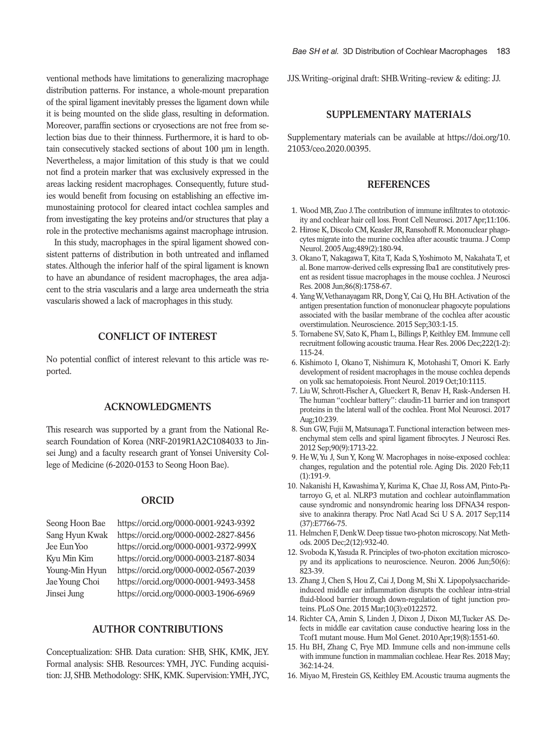ventional methods have limitations to generalizing macrophage distribution patterns. For instance, a whole-mount preparation of the spiral ligament inevitably presses the ligament down while it is being mounted on the slide glass, resulting in deformation. Moreover, paraffin sections or cryosections are not free from selection bias due to their thinness. Furthermore, it is hard to obtain consecutively stacked sections of about 100 um in length. Nevertheless, a major limitation of this study is that we could not find a protein marker that was exclusively expressed in the areas lacking resident macrophages. Consequently, future studies would benefit from focusing on establishing an effective immunostaining protocol for cleared intact cochlea samples and from investigating the key proteins and/or structures that play a role in the protective mechanisms against macrophage intrusion.

In this study, macrophages in the spiral ligament showed consistent patterns of distribution in both untreated and inflamed states. Although the inferior half of the spiral ligament is known to have an abundance of resident macrophages, the area adjacent to the stria vascularis and a large area underneath the stria vascularis showed a lack of macrophages in this study.

# **CONFLICT OF INTEREST**

No potential conflict of interest relevant to this article was reported.

## **ACKNOWLEDGMENTS**

This research was supported by a grant from the National Research Foundation of Korea (NRF-2019R1A2C1084033 to Jinsei Jung) and a faculty research grant of Yonsei University College of Medicine (6-2020-0153 to Seong Hoon Bae).

#### **ORCID**

Seong Hoon Bae <https://orcid.org/0000-0001-9243-9392> Sang Hyun Kwak <https://orcid.org/0000-0002-2827-8456> Jee Eun Yoo <https://orcid.org/0000-0001-9372-999X> Kyu Min Kim <https://orcid.org/0000-0003-2187-8034> Young-Min Hyun <https://orcid.org/0000-0002-0567-2039> Jae Young Choi <https://orcid.org/0000-0001-9493-3458> Jinsei Jung <https://orcid.org/0000-0003-1906-6969>

#### **AUTHOR CONTRIBUTIONS**

Conceptualization: SHB. Data curation: SHB, SHK, KMK, JEY. Formal analysis: SHB. Resources: YMH, JYC. Funding acquisition: JJ, SHB. Methodology: SHK, KMK. Supervision: YMH, JYC,

JJS. Writing–original draft: SHB. Writing–review & editing: JJ.

# **SUPPLEMENTARY MATERIALS**

Supplementary materials can be available at [https://doi.org/10.](https://doi.org/10.21053/ceo.2020.00395)  [21053/ceo.2020.00395](https://doi.org/10.21053/ceo.2020.00395).

# **REFERENCES**

- 1. Wood MB, Zuo J. The contribution of immune infiltrates to ototoxicity and cochlear hair cell loss. Front Cell Neurosci. 2017 Apr;11:106.
- 2. Hirose K, Discolo CM, Keasler JR, Ransohoff R. Mononuclear phagocytes migrate into the murine cochlea after acoustic trauma. J Comp Neurol. 2005 Aug;489(2):180-94.
- 3. Okano T, Nakagawa T, Kita T, Kada S, Yoshimoto M, Nakahata T, et al. Bone marrow-derived cells expressing Iba1 are constitutively present as resident tissue macrophages in the mouse cochlea. J Neurosci Res. 2008 Jun;86(8):1758-67.
- 4. Yang W, Vethanayagam RR, Dong Y, Cai Q, Hu BH. Activation of the antigen presentation function of mononuclear phagocyte populations associated with the basilar membrane of the cochlea after acoustic overstimulation. Neuroscience. 2015 Sep;303:1-15.
- 5. Tornabene SV, Sato K, Pham L, Billings P, Keithley EM. Immune cell recruitment following acoustic trauma. Hear Res. 2006 Dec;222(1-2): 115-24.
- 6. Kishimoto I, Okano T, Nishimura K, Motohashi T, Omori K. Early development of resident macrophages in the mouse cochlea depends on yolk sac hematopoiesis. Front Neurol. 2019 Oct;10:1115.
- 7. Liu W, Schrott-Fischer A, Glueckert R, Benav H, Rask-Andersen H. The human "cochlear battery": claudin-11 barrier and ion transport proteins in the lateral wall of the cochlea. Front Mol Neurosci. 2017 Aug;10:239.
- 8. Sun GW, Fujii M, Matsunaga T. Functional interaction between mesenchymal stem cells and spiral ligament fibrocytes. J Neurosci Res. 2012 Sep;90(9):1713-22.
- 9. He W, Yu J, Sun Y, Kong W. Macrophages in noise-exposed cochlea: changes, regulation and the potential role. Aging Dis. 2020 Feb;11 (1):191-9.
- 10. Nakanishi H, Kawashima Y, Kurima K, Chae JJ, Ross AM, Pinto-Patarroyo G, et al. NLRP3 mutation and cochlear autoinflammation cause syndromic and nonsyndromic hearing loss DFNA34 responsive to anakinra therapy. Proc Natl Acad Sci U S A. 2017 Sep;114 (37):E7766-75.
- 11. Helmchen F, Denk W. Deep tissue two-photon microscopy. Nat Methods. 2005 Dec;2(12):932-40.
- 12. Svoboda K, Yasuda R. Principles of two-photon excitation microscopy and its applications to neuroscience. Neuron. 2006 Jun;50(6): 823-39.
- 13. Zhang J, Chen S, Hou Z, Cai J, Dong M, Shi X. Lipopolysaccharideinduced middle ear inflammation disrupts the cochlear intra-strial fluid-blood barrier through down-regulation of tight junction proteins. PLoS One. 2015 Mar;10(3):e0122572.
- 14. Richter CA, Amin S, Linden J, Dixon J, Dixon MJ, Tucker AS. Defects in middle ear cavitation cause conductive hearing loss in the Tcof1 mutant mouse. Hum Mol Genet. 2010 Apr;19(8):1551-60.
- 15. Hu BH, Zhang C, Frye MD. Immune cells and non-immune cells with immune function in mammalian cochleae. Hear Res. 2018 May; 362:14-24.
- 16. Miyao M, Firestein GS, Keithley EM. Acoustic trauma augments the